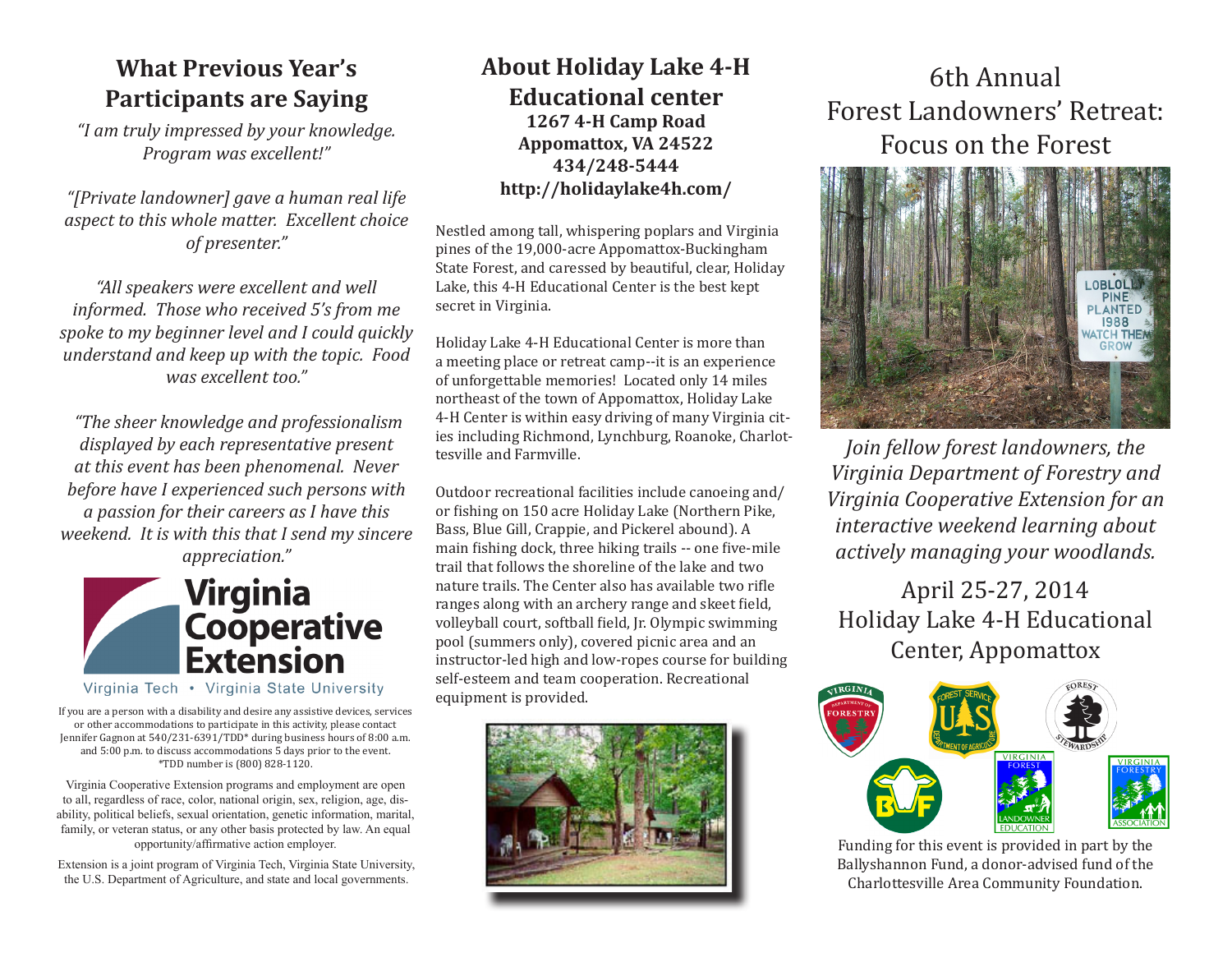# **What Previous Year's Participants are Saying**

*"I am truly impressed by your knowledge. Program was excellent!"*

*"[Private landowner] gave a human real life aspect to this whole matter. Excellent choice of presenter."*

*"All speakers were excellent and well informed. Those who received 5's from me spoke to my beginner level and I could quickly understand and keep up with the topic. Food was excellent too."*

 *"The sheer knowledge and professionalism displayed by each representative present at this event has been phenomenal. Never before have I experienced such persons with a passion for their careers as I have this weekend. It is with this that I send my sincere appreciation."*



Virginia Tech • Virginia State University

If you are a person with a disability and desire any assistive devices, services or other accommodations to participate in this activity, please contact Jennifer Gagnon at 540/231-6391/TDD\* during business hours of 8:00 a.m. and 5:00 p.m. to discuss accommodations 5 days prior to the event. \*TDD number is (800) 828-1120.

Virginia Cooperative Extension programs and employment are open to all, regardless of race, color, national origin, sex, religion, age, disability, political beliefs, sexual orientation, genetic information, marital, family, or veteran status, or any other basis protected by law. An equal opportunity/affirmative action employer.

Extension is a joint program of Virginia Tech, Virginia State University, the U.S. Department of Agriculture, and state and local governments.

# **About Holiday Lake 4-H Educational center 1267 4-H Camp Road Appomattox, VA 24522 434/248-5444 http://holidaylake4h.com/**

Nestled among tall, whispering poplars and Virginia pines of the 19,000-acre Appomattox-Buckingham State Forest, and caressed by beautiful, clear, Holiday Lake, this 4-H Educational Center is the best kept secret in Virginia.

Holiday Lake 4-H Educational Center is more than a meeting place or retreat camp--it is an experience of unforgettable memories! Located only 14 miles northeast of the town of Appomattox, Holiday Lake 4-H Center is within easy driving of many Virginia cities including Richmond, Lynchburg, Roanoke, Charlottesville and Farmville.

Outdoor recreational facilities include canoeing and/ or fishing on 150 acre Holiday Lake (Northern Pike, Bass, Blue Gill, Crappie, and Pickerel abound). A main fishing dock, three hiking trails -- one five-mile trail that follows the shoreline of the lake and two nature trails. The Center also has available two rifle ranges along with an archery range and skeet field, volleyball court, softball field, Jr. Olympic swimming pool (summers only), covered picnic area and an instructor-led high and low-ropes course for building self-esteem and team cooperation. Recreational equipment is provided.



# 6th Annual Forest Landowners' Retreat: Focus on the Forest



*Join fellow forest landowners, the Virginia Department of Forestry and Virginia Cooperative Extension for an interactive weekend learning about actively managing your woodlands.*

April 25-27, 2014 Holiday Lake 4-H Educational Center, Appomattox



Funding for this event is provided in part by the Ballyshannon Fund, a donor-advised fund of the Charlottesville Area Community Foundation.